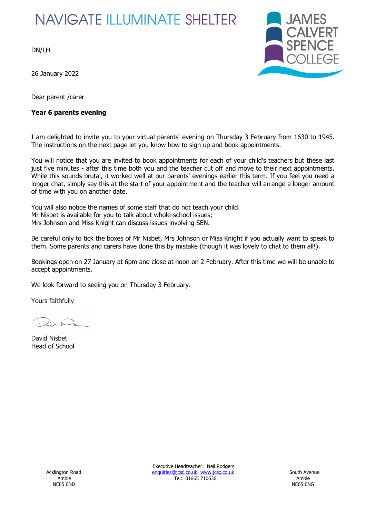# **NAVIGATE ILLUMINATE SHELTER**

DN/LH

26 January 2022

Dear parent /carer

## **Year 6 parents evening**



I am delighted to invite you to your virtual parents' evening on Thursday 3 February from 1630 to 1945. The instructions on the next page let you know how to sign up and book appointments.

You will notice that you are invited to book appointments for each of your child's teachers but these last just five minutes - after this time both you and the teacher cut off and move to their next appointments. While this sounds brutal, it worked well at our parents' evenings earlier this term. If you feel you need a longer chat, simply say this at the start of your appointment and the teacher will arrange a longer amount of time with you on another date.

You will also notice the names of some staff that do not teach your child. Mr Nisbet is available for you to talk about whole-school issues; Mrs Johnson and Miss Knight can discuss issues involving SEN.

Be careful only to tick the boxes of Mr Nisbet, Mrs Johnson or Miss Knight if you actually want to speak to them. Some parents and carers have done this by mistake (though it was lovely to chat to them all!).

Bookings open on 27 January at 6pm and close at noon on 2 February. After this time we will be unable to accept appointments.

We look forward to seeing you on Thursday 3 February.

Yours faithfully

David Nisbet Head of School

Executive Headteacher: Neil Rodgers Acklington Road **Enquiries@jcsc.co.uk www.jcsc.co.uk** South Avenue Amble Tel: 01665 710636 Amble